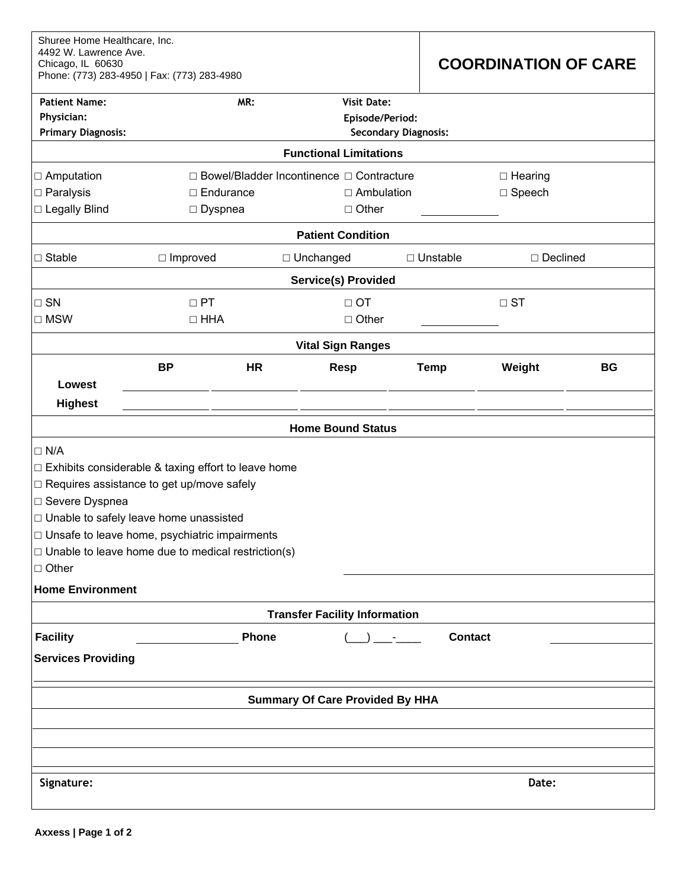| Shuree Home Healthcare, Inc.<br>4492 W. Lawrence Ave.<br>Chicago, IL 60630<br>Phone: (773) 283-4950   Fax: (773) 283-4980 |                                                              |           |                    |               | <b>COORDINATION OF CARE</b> |            |           |  |  |  |
|---------------------------------------------------------------------------------------------------------------------------|--------------------------------------------------------------|-----------|--------------------|---------------|-----------------------------|------------|-----------|--|--|--|
| <b>Patient Name:</b>                                                                                                      |                                                              | MR:       | <b>Visit Date:</b> |               |                             |            |           |  |  |  |
| Physician:<br><b>Primary Diagnosis:</b>                                                                                   | Episode/Period:<br><b>Secondary Diagnosis:</b>               |           |                    |               |                             |            |           |  |  |  |
| <b>Functional Limitations</b>                                                                                             |                                                              |           |                    |               |                             |            |           |  |  |  |
| □ Amputation                                                                                                              | □ Bowel/Bladder Incontinence □ Contracture<br>$\Box$ Hearing |           |                    |               |                             |            |           |  |  |  |
| $\Box$ Paralysis                                                                                                          | $\Box$ Endurance                                             |           | $\Box$ Ambulation  |               | $\Box$ Speech               |            |           |  |  |  |
| □ Legally Blind                                                                                                           | $\Box$ Dyspnea                                               |           | $\Box$ Other       |               |                             |            |           |  |  |  |
| <b>Patient Condition</b>                                                                                                  |                                                              |           |                    |               |                             |            |           |  |  |  |
| $\Box$ Stable                                                                                                             | $\Box$ Improved                                              |           | □ Unchanged        | □ Unstable    |                             | □ Declined |           |  |  |  |
| <b>Service(s) Provided</b>                                                                                                |                                                              |           |                    |               |                             |            |           |  |  |  |
| $\square$ SN                                                                                                              | $\Box$ PT                                                    |           | $\Box$ OT          |               |                             | $\Box$ ST  |           |  |  |  |
| $\square$ MSW                                                                                                             | $\Box$ HHA                                                   |           | $\Box$ Other       |               |                             |            |           |  |  |  |
| <b>Vital Sign Ranges</b>                                                                                                  |                                                              |           |                    |               |                             |            |           |  |  |  |
|                                                                                                                           | <b>BP</b>                                                    | <b>HR</b> | <b>Resp</b>        | <b>Temp</b>   |                             | Weight     | <b>BG</b> |  |  |  |
| Lowest                                                                                                                    |                                                              |           |                    |               |                             |            |           |  |  |  |
| <b>Highest</b>                                                                                                            |                                                              |           |                    |               |                             |            |           |  |  |  |
| <b>Home Bound Status</b>                                                                                                  |                                                              |           |                    |               |                             |            |           |  |  |  |
| $\Box$ N/A                                                                                                                |                                                              |           |                    |               |                             |            |           |  |  |  |
| $\Box$ Exhibits considerable & taxing effort to leave home                                                                |                                                              |           |                    |               |                             |            |           |  |  |  |
|                                                                                                                           | □ Requires assistance to get up/move safely                  |           |                    |               |                             |            |           |  |  |  |
| □ Severe Dyspnea                                                                                                          |                                                              |           |                    |               |                             |            |           |  |  |  |
|                                                                                                                           | □ Unable to safely leave home unassisted                     |           |                    |               |                             |            |           |  |  |  |
| □ Unsafe to leave home, psychiatric impairments                                                                           |                                                              |           |                    |               |                             |            |           |  |  |  |
| $\Box$ Unable to leave home due to medical restriction(s)<br>$\Box$ Other                                                 |                                                              |           |                    |               |                             |            |           |  |  |  |
|                                                                                                                           |                                                              |           |                    |               |                             |            |           |  |  |  |
| <b>Home Environment</b>                                                                                                   |                                                              |           |                    |               |                             |            |           |  |  |  |
| <b>Transfer Facility Information</b>                                                                                      |                                                              |           |                    |               |                             |            |           |  |  |  |
| <b>Facility</b>                                                                                                           |                                                              | Phone     |                    | <b>Common</b> | <b>Contact</b>              |            |           |  |  |  |
| <b>Services Providing</b>                                                                                                 |                                                              |           |                    |               |                             |            |           |  |  |  |
| <b>Summary Of Care Provided By HHA</b>                                                                                    |                                                              |           |                    |               |                             |            |           |  |  |  |
|                                                                                                                           |                                                              |           |                    |               |                             |            |           |  |  |  |
|                                                                                                                           |                                                              |           |                    |               |                             |            |           |  |  |  |
|                                                                                                                           |                                                              |           |                    |               |                             |            |           |  |  |  |
| Signature:<br>Date:                                                                                                       |                                                              |           |                    |               |                             |            |           |  |  |  |